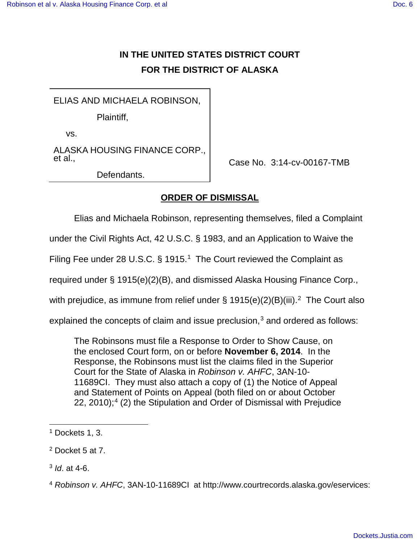## **IN THE UNITED STATES DISTRICT COURT FOR THE DISTRICT OF ALASKA**

ELIAS AND MICHAELA ROBINSON,

Plaintiff,

vs.

ALASKA HOUSING FINANCE CORP., et al.,

Defendants.

Case No. 3:14-cv-00167-TMB

## **ORDER OF DISMISSAL**

Elias and Michaela Robinson, representing themselves, filed a Complaint

under the Civil Rights Act, 42 U.S.C. § 1983, and an Application to Waive the

Filing Fee under 28 U.S.C.  $\S$  [1](#page-0-0)915.<sup>1</sup> The Court reviewed the Complaint as

required under § 1915(e)(2)(B), and dismissed Alaska Housing Finance Corp.,

with prejudice, as immune from relief under § 1915(e)([2](#page-0-1))(B)(iii).<sup>2</sup> The Court also

explained the concepts of claim and issue preclusion, $3$  and ordered as follows:

The Robinsons must file a Response to Order to Show Cause, on the enclosed Court form, on or before **November 6, 2014**. In the Response, the Robinsons must list the claims filed in the Superior Court for the State of Alaska in Robinson v. AHFC, 3AN-10- 11689CI. They must also attach a copy of (1) the Notice of Appeal and Statement of Points on Appeal (both filed on or about October 22, 2010);<sup>[4](#page-0-3)</sup> (2) the Stipulation and Order of Dismissal with Prejudice

1

<span id="page-0-0"></span><sup>&</sup>lt;sup>1</sup> Dockets 1, 3.

<span id="page-0-1"></span><sup>2</sup> Docket 5 at 7.

<span id="page-0-2"></span><sup>&</sup>lt;sup>3</sup> *ld.* at 4-6.

<span id="page-0-3"></span><sup>4</sup> Robinson v. AHFC, 3AN-10-11689CI at [http://www.courtrecords.alaska.gov/eservices:](http://www.courtrecords.alaska.gov/eservices)